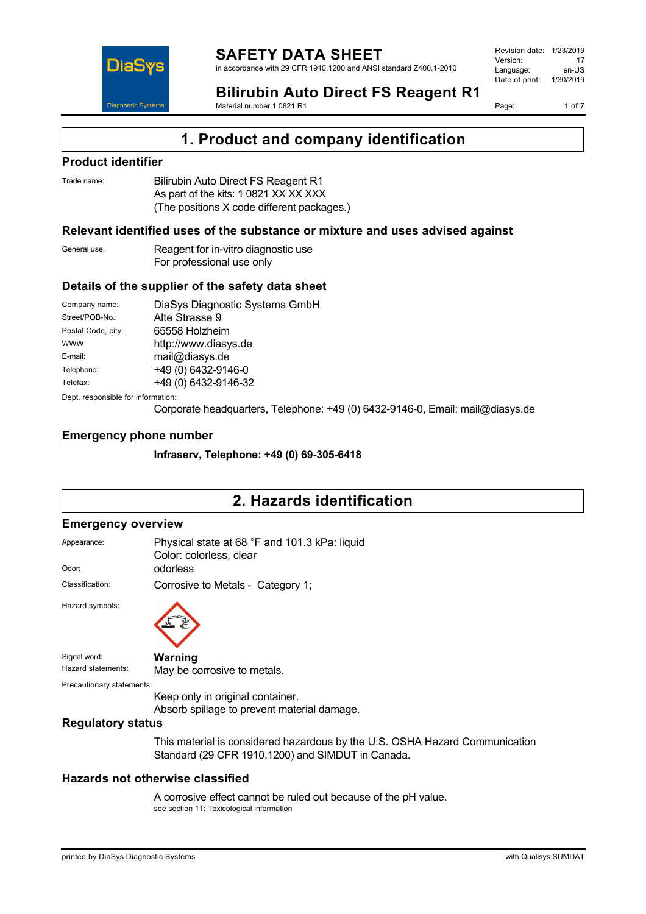

**Bilirubin Auto Direct FS Reagent R1** Material number 1 0821 R1

Page: 1 of 7

# **1. Product and company identification**

## **Product identifier**

| Trade name: | Bilirubin Auto Direct FS Reagent R1        |
|-------------|--------------------------------------------|
|             | As part of the kits: 1 0821 XX XX XXX      |
|             | (The positions X code different packages.) |

### **Relevant identified uses of the substance or mixture and uses advised against**

| General use: | Reagent for in-vitro diagnostic use |
|--------------|-------------------------------------|
|              | For professional use only           |

## **Details of the supplier of the safety data sheet**

| Company name:                      | DiaSys Diagnostic Systems GmbH |  |
|------------------------------------|--------------------------------|--|
| Street/POB-No.:                    | Alte Strasse 9                 |  |
| Postal Code, city:                 | 65558 Holzheim                 |  |
| WWW:                               | http://www.diasys.de           |  |
| E-mail:                            | mail@diasys.de                 |  |
| Telephone:                         | +49 (0) 6432-9146-0            |  |
| Telefax:                           | +49 (0) 6432-9146-32           |  |
| Dept. responsible for information: |                                |  |

Corporate headquarters, Telephone: +49 (0) 6432-9146-0, Email: mail@diasys.de

### **Emergency phone number**

**Infraserv, Telephone: +49 (0) 69-305-6418**

# **2. Hazards identification**

#### **Emergency overview**

| Appearance:               | Physical state at 68 °F and 101.3 kPa: liquid<br>Color: colorless, clear        |  |  |
|---------------------------|---------------------------------------------------------------------------------|--|--|
| Odor:                     | odorless                                                                        |  |  |
| Classification:           | Corrosive to Metals - Category 1;                                               |  |  |
| Hazard symbols:           |                                                                                 |  |  |
| Signal word:              | Warning                                                                         |  |  |
| Hazard statements:        | May be corrosive to metals.                                                     |  |  |
| Precautionary statements: |                                                                                 |  |  |
|                           | Keep only in original container.<br>Absorb spillage to prevent material damage. |  |  |
| <b>Regulatory status</b>  |                                                                                 |  |  |

This material is considered hazardous by the U.S. OSHA Hazard Communication Standard (29 CFR 1910.1200) and SIMDUT in Canada.

## **Hazards not otherwise classified**

A corrosive effect cannot be ruled out because of the pH value. see section 11: Toxicological information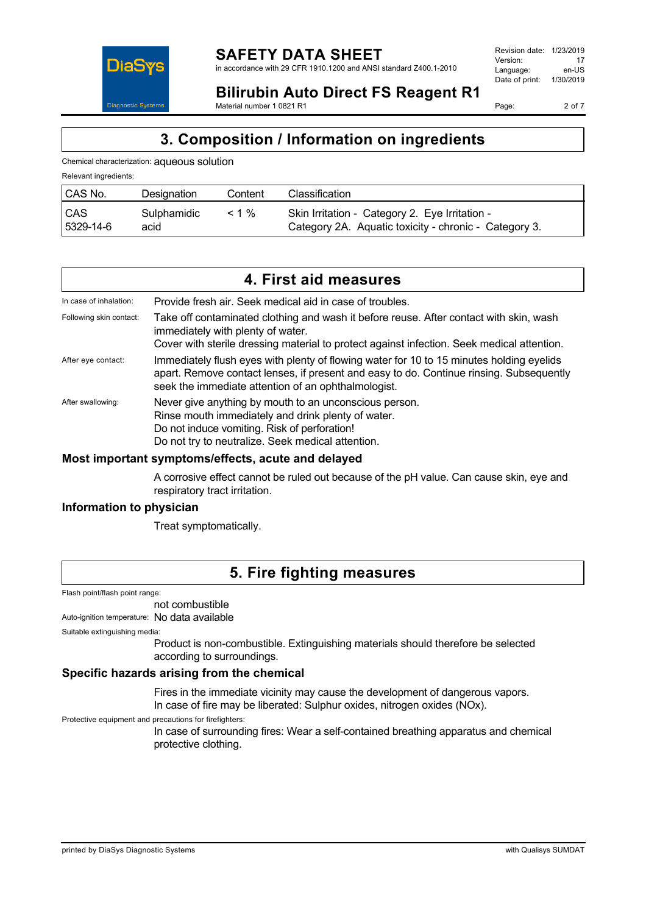

Page: 2 of 7

**Bilirubin Auto Direct FS Reagent R1** Material number 1 0821 R1

# **3. Composition / Information on ingredients**

Chemical characterization: aqueous solution

| Relevant ingredients:   |                     |          |                                                                                                         |
|-------------------------|---------------------|----------|---------------------------------------------------------------------------------------------------------|
| <b>CAS No.</b>          | Designation         | Content  | Classification                                                                                          |
| <b>CAS</b><br>5329-14-6 | Sulphamidic<br>acid | $< 1 \%$ | Skin Irritation - Category 2. Eye Irritation -<br>Category 2A. Aquatic toxicity - chronic - Category 3. |

|                         | 4. First aid measures                                                                                                                                                                                                                      |
|-------------------------|--------------------------------------------------------------------------------------------------------------------------------------------------------------------------------------------------------------------------------------------|
| In case of inhalation:  | Provide fresh air. Seek medical aid in case of troubles.                                                                                                                                                                                   |
| Following skin contact: | Take off contaminated clothing and wash it before reuse. After contact with skin, wash<br>immediately with plenty of water.<br>Cover with sterile dressing material to protect against infection. Seek medical attention.                  |
| After eye contact:      | Immediately flush eyes with plenty of flowing water for 10 to 15 minutes holding eyelids<br>apart. Remove contact lenses, if present and easy to do. Continue rinsing. Subsequently<br>seek the immediate attention of an ophthalmologist. |
| After swallowing:       | Never give anything by mouth to an unconscious person.<br>Rinse mouth immediately and drink plenty of water.<br>Do not induce vomiting. Risk of perforation!<br>Do not try to neutralize. Seek medical attention.                          |

### **Most important symptoms/effects, acute and delayed**

A corrosive effect cannot be ruled out because of the pH value. Can cause skin, eye and respiratory tract irritation.

### **Information to physician**

Treat symptomatically.

# **5. Fire fighting measures**

Flash point/flash point range:

not combustible

Auto-ignition temperature: No data available

Suitable extinguishing media:

Product is non-combustible. Extinguishing materials should therefore be selected according to surroundings.

# **Specific hazards arising from the chemical**

Fires in the immediate vicinity may cause the development of dangerous vapors. In case of fire may be liberated: Sulphur oxides, nitrogen oxides (NOx).

Protective equipment and precautions for firefighters:

In case of surrounding fires: Wear a self-contained breathing apparatus and chemical protective clothing.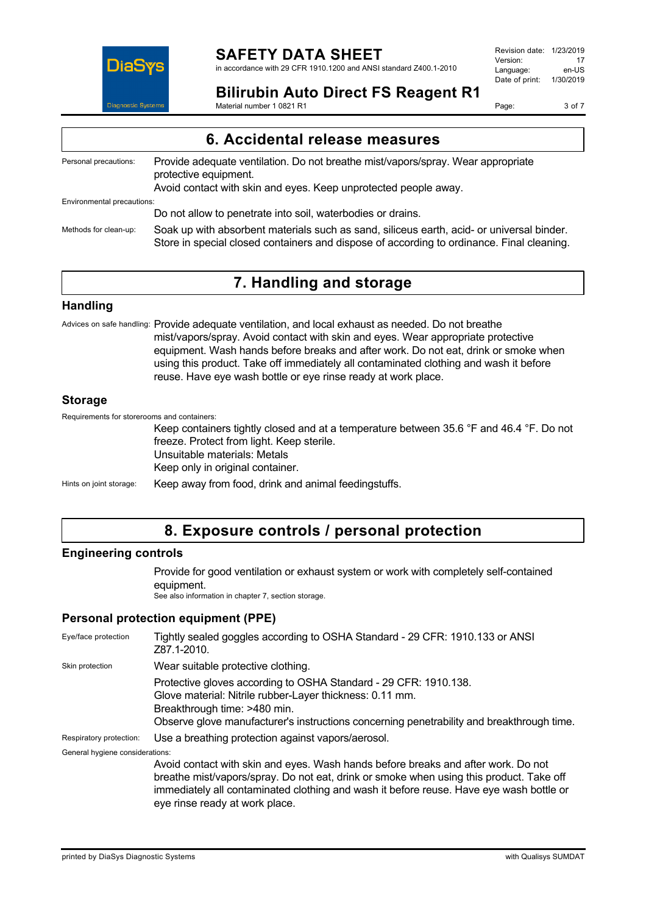

**Bilirubin Auto Direct FS Reagent R1** Material number 1 0821 R1

Page: 3 of 7

| 6. Accidental release measures |                                                                                                                                                                                        |  |
|--------------------------------|----------------------------------------------------------------------------------------------------------------------------------------------------------------------------------------|--|
| Personal precautions:          | Provide adequate ventilation. Do not breathe mist/vapors/spray. Wear appropriate<br>protective equipment.<br>Avoid contact with skin and eyes. Keep unprotected people away.           |  |
| Environmental precautions:     |                                                                                                                                                                                        |  |
|                                | Do not allow to penetrate into soil, waterbodies or drains.                                                                                                                            |  |
| Methods for clean-up:          | Soak up with absorbent materials such as sand, siliceus earth, acid- or universal binder.<br>Store in special closed containers and dispose of according to ordinance. Final cleaning. |  |

# **7. Handling and storage**

### **Handling**

Advices on safe handling: Provide adequate ventilation, and local exhaust as needed. Do not breathe mist/vapors/spray. Avoid contact with skin and eyes. Wear appropriate protective equipment. Wash hands before breaks and after work. Do not eat, drink or smoke when using this product. Take off immediately all contaminated clothing and wash it before reuse. Have eye wash bottle or eye rinse ready at work place.

### **Storage**

Requirements for storerooms and containers:

Keep containers tightly closed and at a temperature between 35.6 °F and 46.4 °F. Do not freeze. Protect from light. Keep sterile. Unsuitable materials: Metals Keep only in original container. Hints on joint storage: Keep away from food, drink and animal feedingstuffs.

# **8. Exposure controls / personal protection**

# **Engineering controls**

Provide for good ventilation or exhaust system or work with completely self-contained equipment.

See also information in chapter 7, section storage.

# **Personal protection equipment (PPE)**

| Eye/face protection             | Tightly sealed goggles according to OSHA Standard - 29 CFR: 1910.133 or ANSI<br>Z87.1-2010.                                                                                                                                                                                                               |
|---------------------------------|-----------------------------------------------------------------------------------------------------------------------------------------------------------------------------------------------------------------------------------------------------------------------------------------------------------|
| Skin protection                 | Wear suitable protective clothing.                                                                                                                                                                                                                                                                        |
|                                 | Protective gloves according to OSHA Standard - 29 CFR: 1910.138.<br>Glove material: Nitrile rubber-Layer thickness: 0.11 mm.<br>Breakthrough time: >480 min.<br>Observe glove manufacturer's instructions concerning penetrability and breakthrough time.                                                 |
| Respiratory protection:         | Use a breathing protection against vapors/aerosol.                                                                                                                                                                                                                                                        |
| General hygiene considerations: |                                                                                                                                                                                                                                                                                                           |
|                                 | Avoid contact with skin and eyes. Wash hands before breaks and after work. Do not<br>breathe mist/vapors/spray. Do not eat, drink or smoke when using this product. Take off<br>immediately all contaminated clothing and wash it before reuse. Have eye wash bottle or<br>eye rinse ready at work place. |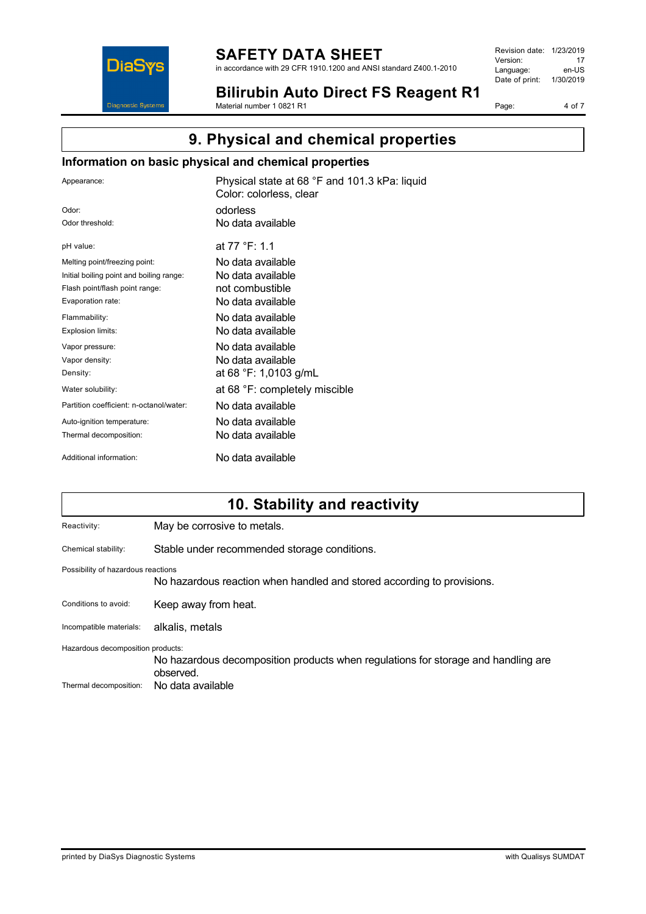

# **SAFETY DATA SHEET**

in accordance with 29 CFR 1910.1200 and ANSI standard Z400.1-2010

Revision date: 1/23/2019 Version: 17<br>
Language: en-US Language: Date of print: 1/30/2019

**Bilirubin Auto Direct FS Reagent R1** Material number 1 0821 R1

Page: 4 of 7

# **9. Physical and chemical properties**

# **Information on basic physical and chemical properties**

| Appearance:                              | Physical state at 68 °F and 101.3 kPa: liquid<br>Color: colorless, clear |
|------------------------------------------|--------------------------------------------------------------------------|
| Odor:                                    | odorless                                                                 |
| Odor threshold:                          | No data available                                                        |
| pH value:                                | at 77 °F: 1.1                                                            |
| Melting point/freezing point:            | No data available                                                        |
| Initial boiling point and boiling range: | No data available                                                        |
| Flash point/flash point range:           | not combustible                                                          |
| Evaporation rate:                        | No data available                                                        |
| Flammability:                            | No data available                                                        |
| Explosion limits:                        | No data available                                                        |
| Vapor pressure:                          | No data available                                                        |
| Vapor density:                           | No data available                                                        |
| Density:                                 | at 68 °F: 1,0103 g/mL                                                    |
| Water solubility:                        | at 68 °F: completely miscible                                            |
| Partition coefficient: n-octanol/water:  | No data available                                                        |
| Auto-ignition temperature:               | No data available                                                        |
| Thermal decomposition:                   | No data available                                                        |
| Additional information:                  | No data available                                                        |

# **10. Stability and reactivity**

| Reactivity:                        | May be corrosive to metals.                                                                    |  |
|------------------------------------|------------------------------------------------------------------------------------------------|--|
| Chemical stability:                | Stable under recommended storage conditions.                                                   |  |
| Possibility of hazardous reactions | No hazardous reaction when handled and stored according to provisions.                         |  |
| Conditions to avoid:               | Keep away from heat.                                                                           |  |
| Incompatible materials:            | alkalis, metals                                                                                |  |
| Hazardous decomposition products:  | No hazardous decomposition products when regulations for storage and handling are<br>observed. |  |
| Thermal decomposition:             | No data available                                                                              |  |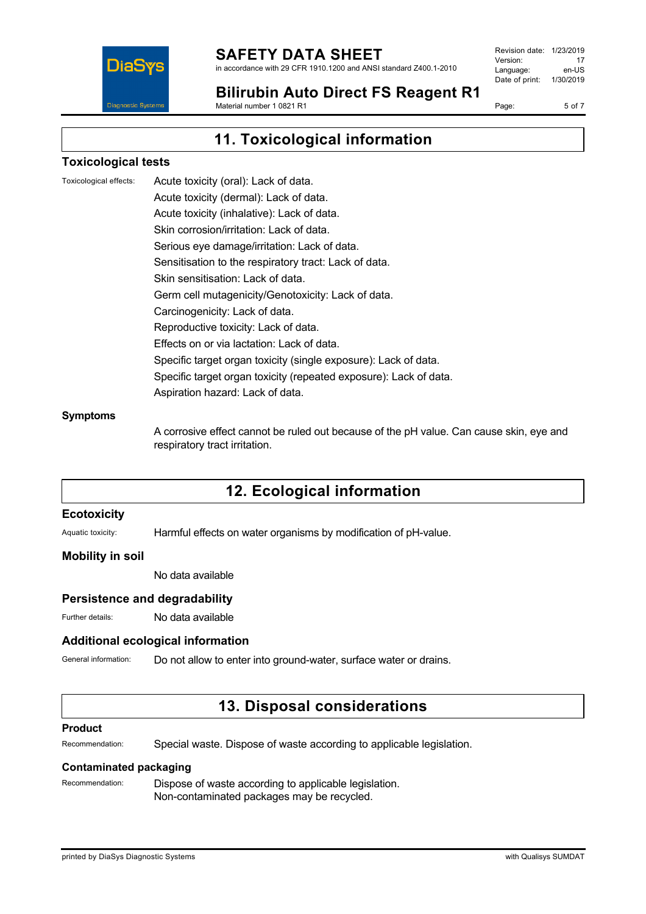

in accordance with 29 CFR 1910.1200 and ANSI standard Z400.1-2010

Revision date: 1/23/2019 Version: 17<br>Language: en-LIS Language: Date of print: 1/30/2019

**Bilirubin Auto Direct FS Reagent R1** Material number 1 0821 R1

Page: 5 of 7

# **11. Toxicological information**

### **Toxicological tests**

Toxicological effects: Acute toxicity (oral): Lack of data. Acute toxicity (dermal): Lack of data. Acute toxicity (inhalative): Lack of data. Skin corrosion/irritation: Lack of data. Serious eye damage/irritation: Lack of data. Sensitisation to the respiratory tract: Lack of data. Skin sensitisation: Lack of data. Germ cell mutagenicity/Genotoxicity: Lack of data. Carcinogenicity: Lack of data. Reproductive toxicity: Lack of data. Effects on or via lactation: Lack of data. Specific target organ toxicity (single exposure): Lack of data. Specific target organ toxicity (repeated exposure): Lack of data. Aspiration hazard: Lack of data.

#### **Symptoms**

A corrosive effect cannot be ruled out because of the pH value. Can cause skin, eye and respiratory tract irritation.

# **12. Ecological information**

#### **Ecotoxicity**

Aquatic toxicity: Harmful effects on water organisms by modification of pH-value.

### **Mobility in soil**

No data available

### **Persistence and degradability**

Further details: No data available

# **Additional ecological information**

General information: Do not allow to enter into ground-water, surface water or drains.

# **13. Disposal considerations**

#### **Product**

Recommendation: Special waste. Dispose of waste according to applicable legislation.

### **Contaminated packaging**

Recommendation: Dispose of waste according to applicable legislation. Non-contaminated packages may be recycled.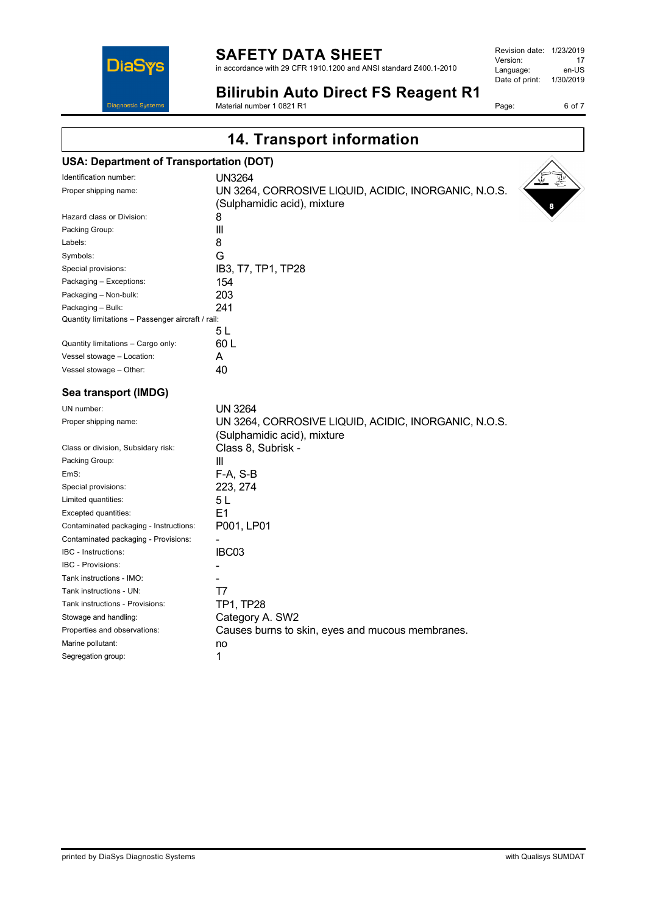# **SAFETY DATA SHEET**

in accordance with 29 CFR 1910.1200 and ANSI standard Z400.1-2010

| Revision date: | 1/23/2019 |
|----------------|-----------|
| Version:       | 17        |
| Language:      | en-US     |
| Date of print: | 1/30/2019 |
|                |           |

Page: 6 of 7

**DiaSys** Diagnostic System

#### **Bilirubin Auto Direct FS Reagent R1** Material number 1 0821 R1

**14. Transport information**

# **USA: Department of Transportation (DOT)**

| Identification number:                            | <b>UN3264</b>                                                                       | $\mathbb{R}$<br>$\sqrt{v}$ |
|---------------------------------------------------|-------------------------------------------------------------------------------------|----------------------------|
| Proper shipping name:                             | UN 3264, CORROSIVE LIQUID, ACIDIC, INORGANIC, N.O.S.<br>(Sulphamidic acid), mixture |                            |
| Hazard class or Division:                         | 8                                                                                   | 8                          |
| Packing Group:                                    | Ш                                                                                   |                            |
| Labels:                                           | 8                                                                                   |                            |
| Symbols:                                          | G                                                                                   |                            |
| Special provisions:                               | IB3, T7, TP1, TP28                                                                  |                            |
| Packaging - Exceptions:                           | 154                                                                                 |                            |
| Packaging - Non-bulk:                             | 203                                                                                 |                            |
| Packaging - Bulk:                                 | 241                                                                                 |                            |
| Quantity limitations - Passenger aircraft / rail: |                                                                                     |                            |
|                                                   | 5L                                                                                  |                            |
| Quantity limitations - Cargo only:                | 60 L                                                                                |                            |
| Vessel stowage - Location:                        | A                                                                                   |                            |
| Vessel stowage - Other:                           | 40                                                                                  |                            |
| Sea transport (IMDG)                              |                                                                                     |                            |
| UN number:                                        | <b>UN 3264</b>                                                                      |                            |
| Proper shipping name:                             | UN 3264, CORROSIVE LIQUID, ACIDIC, INORGANIC, N.O.S.<br>(Sulphamidic acid), mixture |                            |
| Class or division, Subsidary risk:                | Class 8, Subrisk -                                                                  |                            |
| Packing Group:                                    | Ш                                                                                   |                            |
| EmS:                                              | F-A, S-B                                                                            |                            |
| Special provisions:                               | 223, 274                                                                            |                            |
| Limited quantities:                               | 5L                                                                                  |                            |
| Excepted quantities:                              | E1                                                                                  |                            |
| Contaminated packaging - Instructions:            | P001, LP01                                                                          |                            |
| Contaminated packaging - Provisions:              |                                                                                     |                            |
| <b>IBC</b> - Instructions:                        | IBC03                                                                               |                            |
| IBC - Provisions:                                 |                                                                                     |                            |
| Tank instructions - IMO:                          |                                                                                     |                            |
| Tank instructions - UN:                           | T7                                                                                  |                            |
| Tank instructions - Provisions:                   | <b>TP1, TP28</b>                                                                    |                            |
| Stowage and handling:                             | Category A. SW2                                                                     |                            |
| Properties and observations:                      | Causes burns to skin, eyes and mucous membranes.                                    |                            |
| Marine pollutant:                                 | no                                                                                  |                            |
| Segregation group:                                | 1                                                                                   |                            |